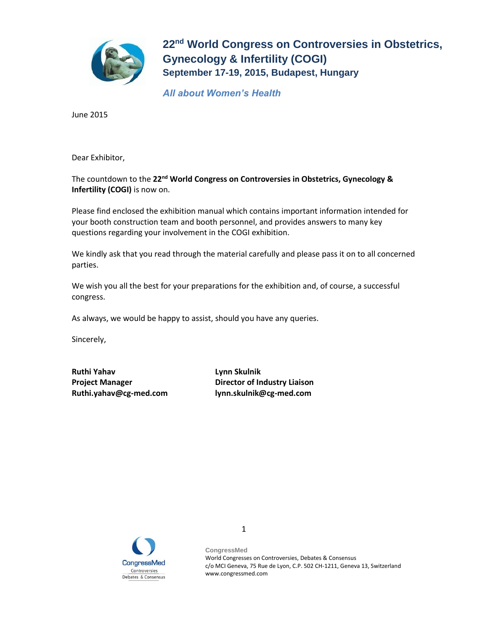

*All about Women's Health*

June 2015

Dear Exhibitor,

The countdown to the **22nd World Congress on Controversies in Obstetrics, Gynecology & Infertility (COGI)** is now on.

Please find enclosed the exhibition manual which contains important information intended for your booth construction team and booth personnel, and provides answers to many key questions regarding your involvement in the COGI exhibition.

We kindly ask that you read through the material carefully and please pass it on to all concerned parties.

We wish you all the best for your preparations for the exhibition and, of course, a successful congress.

As always, we would be happy to assist, should you have any queries.

Sincerely,

**Ruthi Yahav Lynn Skulnik Ruthi.yahav@cg-med.com lynn.skulnik@cg-med.com**

**Project Manager Director of Industry Liaison**



**CongressMed** World Congresses on Controversies, Debates & Consensus c/o MCI Geneva, 75 Rue de Lyon, C.P. 502 CH-1211, Geneva 13, Switzerland www.congressmed.com

1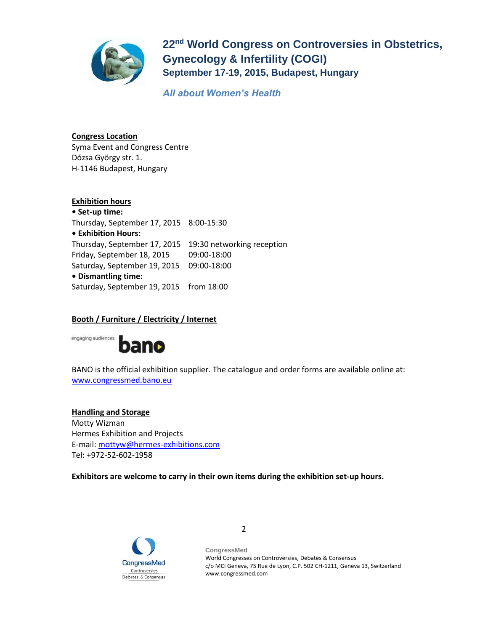

*All about Women's Health*

**Congress Location** Syma Event and Congress Centre Dózsa György str. 1. H-1146 Budapest, Hungary

**Exhibition hours • Set-up time:** Thursday, September 17, 2015 8:00-15:30 **• Exhibition Hours:**  Thursday, September 17, 2015 19:30 networking reception Friday, September 18, 2015 09:00-18:00 Saturday, September 19, 2015 09:00-18:00 **• Dismantling time:** Saturday, September 19, 2015 from 18:00

## **Booth / Furniture / Electricity / Internet**



BANO is the official exhibition supplier. The catalogue and order forms are available online at: [www.congressmed.bano.eu](http://www.congressmed.bano.eu/)

**Handling and Storage** Motty Wizman Hermes Exhibition and Projects E-mail: [mottyw@hermes-exhibitions.com](mailto:mottyw@hermes-exhibitions.com)  Tel: +972-52-602-1958

**Exhibitors are welcome to carry in their own items during the exhibition set-up hours.**

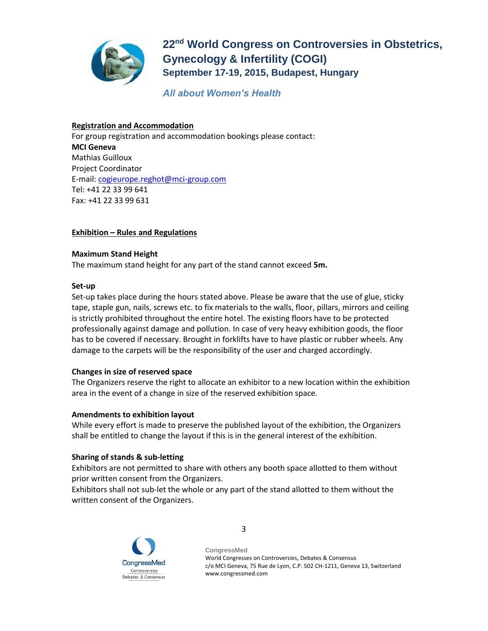

*All about Women's Health*

## **Registration and Accommodation**

For group registration and accommodation bookings please contact: **MCI Geneva** Mathias Guilloux Project Coordinator E-mail: [cogieurope.reghot@mci-group.com](mailto:cogieurope.reghot@mci-group.com) Tel: +41 22 33 99 641 Fax: +41 22 33 99 631

## **Exhibition – Rules and Regulations**

## **Maximum Stand Height**

The maximum stand height for any part of the stand cannot exceed **5m.**

## **Set-up**

Set-up takes place during the hours stated above. Please be aware that the use of glue, sticky tape, staple gun, nails, screws etc. to fix materials to the walls, floor, pillars, mirrors and ceiling is strictly prohibited throughout the entire hotel. The existing floors have to be protected professionally against damage and pollution. In case of very heavy exhibition goods, the floor has to be covered if necessary. Brought in forklifts have to have plastic or rubber wheels. Any damage to the carpets will be the responsibility of the user and charged accordingly.

## **Changes in size of reserved space**

The Organizers reserve the right to allocate an exhibitor to a new location within the exhibition area in the event of a change in size of the reserved exhibition space.

## **Amendments to exhibition layout**

While every effort is made to preserve the published layout of the exhibition, the Organizers shall be entitled to change the layout if this is in the general interest of the exhibition.

## **Sharing of stands & sub-letting**

Exhibitors are not permitted to share with others any booth space allotted to them without prior written consent from the Organizers.

Exhibitors shall not sub-let the whole or any part of the stand allotted to them without the written consent of the Organizers.

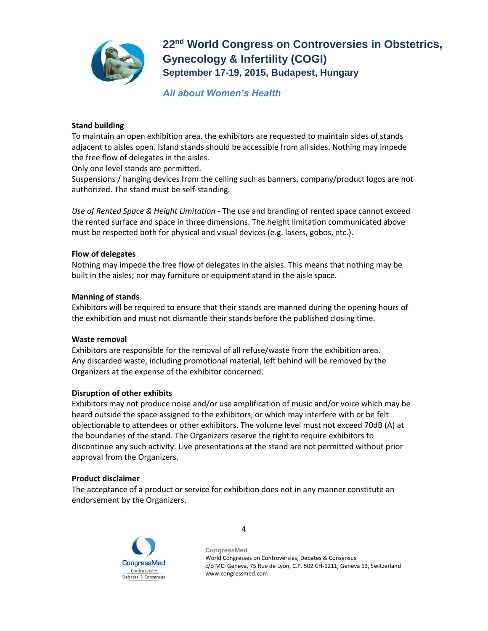

*All about Women's Health*

## **Stand building**

To maintain an open exhibition area, the exhibitors are requested to maintain sides of stands adjacent to aisles open. Island stands should be accessible from all sides. Nothing may impede the free flow of delegates in the aisles.

Only one level stands are permitted.

Suspensions / hanging devices from the ceiling such as banners, company/product logos are not authorized. The stand must be self-standing.

*Use of Rented Space & Height Limitation* - The use and branding of rented space cannot exceed the rented surface and space in three dimensions. The height limitation communicated above must be respected both for physical and visual devices (e.g. lasers, gobos, etc.).

#### **Flow of delegates**

Nothing may impede the free flow of delegates in the aisles. This means that nothing may be built in the aisles; nor may furniture or equipment stand in the aisle space.

#### **Manning of stands**

Exhibitors will be required to ensure that their stands are manned during the opening hours of the exhibition and must not dismantle their stands before the published closing time.

#### **Waste removal**

Exhibitors are responsible for the removal of all refuse/waste from the exhibition area. Any discarded waste, including promotional material, left behind will be removed by the Organizers at the expense of the exhibitor concerned.

#### **Disruption of other exhibits**

Exhibitors may not produce noise and/or use amplification of music and/or voice which may be heard outside the space assigned to the exhibitors, or which may interfere with or be felt objectionable to attendees or other exhibitors. The volume level must not exceed 70dB (A) at the boundaries of the stand. The Organizers reserve the right to require exhibitors to discontinue any such activity. Live presentations at the stand are not permitted without prior approval from the Organizers.

#### **Product disclaimer**

The acceptance of a product or service for exhibition does not in any manner constitute an endorsement by the Organizers.

4

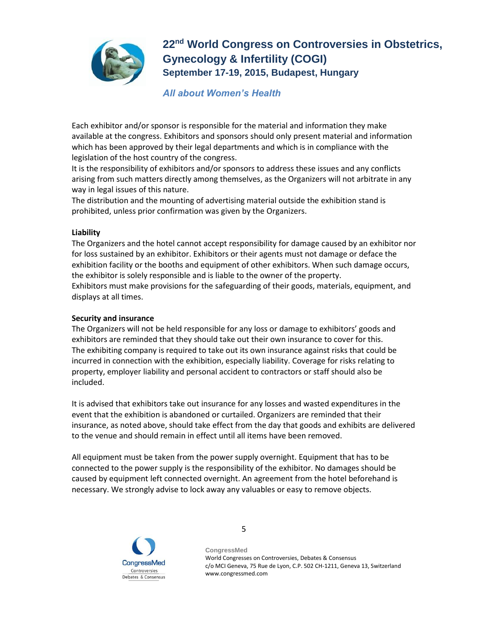

## *All about Women's Health*

Each exhibitor and/or sponsor is responsible for the material and information they make available at the congress. Exhibitors and sponsors should only present material and information which has been approved by their legal departments and which is in compliance with the legislation of the host country of the congress.

It is the responsibility of exhibitors and/or sponsors to address these issues and any conflicts arising from such matters directly among themselves, as the Organizers will not arbitrate in any way in legal issues of this nature.

The distribution and the mounting of advertising material outside the exhibition stand is prohibited, unless prior confirmation was given by the Organizers.

## **Liability**

The Organizers and the hotel cannot accept responsibility for damage caused by an exhibitor nor for loss sustained by an exhibitor. Exhibitors or their agents must not damage or deface the exhibition facility or the booths and equipment of other exhibitors. When such damage occurs, the exhibitor is solely responsible and is liable to the owner of the property. Exhibitors must make provisions for the safeguarding of their goods, materials, equipment, and displays at all times.

## **Security and insurance**

The Organizers will not be held responsible for any loss or damage to exhibitors' goods and exhibitors are reminded that they should take out their own insurance to cover for this. The exhibiting company is required to take out its own insurance against risks that could be incurred in connection with the exhibition, especially liability. Coverage for risks relating to property, employer liability and personal accident to contractors or staff should also be included.

It is advised that exhibitors take out insurance for any losses and wasted expenditures in the event that the exhibition is abandoned or curtailed. Organizers are reminded that their insurance, as noted above, should take effect from the day that goods and exhibits are delivered to the venue and should remain in effect until all items have been removed.

All equipment must be taken from the power supply overnight. Equipment that has to be connected to the power supply is the responsibility of the exhibitor. No damages should be caused by equipment left connected overnight. An agreement from the hotel beforehand is necessary. We strongly advise to lock away any valuables or easy to remove objects.